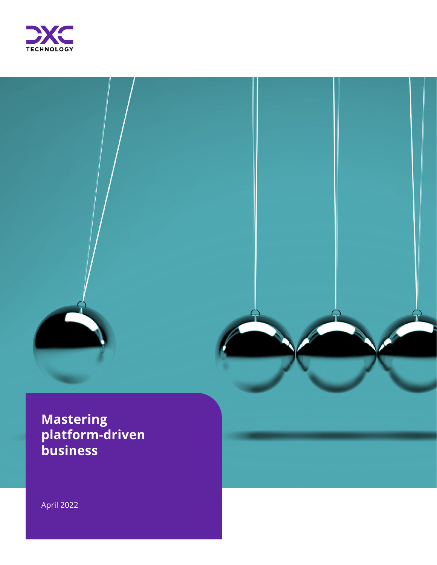



# **Mastering platform-driven business**

April 2022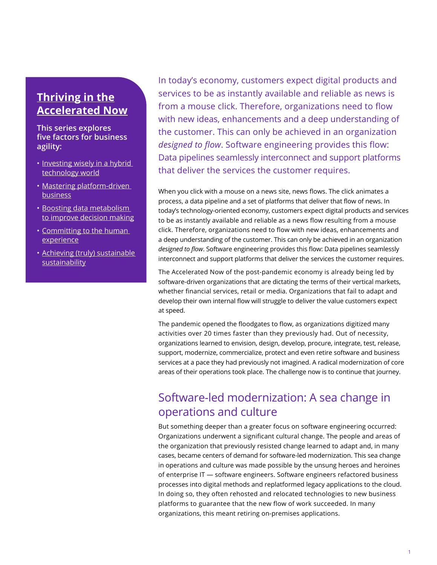### **[Thriving in the](https://dxc.com/us/en/insights/perspectives/sp/accelerated-now/thriving-in-the-accelerated-now) [Accelerated Now](https://dxc.com/us/en/insights/perspectives/sp/accelerated-now/thriving-in-the-accelerated-now)**

#### **This series explores five factors for business agility:**

- Investing wisely in a hybrid [technology world](https://dxc.com/us/en/insights/perspectives/sp/accelerated-now/investing-wisely-in-a-hybrid-technology-world)
- [Mastering platform-driven](https://dxc.com/us/en/insights/perspectives/sp/accelerated-now/mastering-platform-driven-business)  **[business](https://dxc.com/us/en/insights/perspectives/sp/accelerated-now/mastering-platform-driven-business)**
- [Boosting data metabolism](https://dxc.com/us/en/insights/perspectives/sp/accelerated-now/boosting-data-metabolism-to-improve-decision-making)  [to improve decision making](https://dxc.com/us/en/insights/perspectives/sp/accelerated-now/boosting-data-metabolism-to-improve-decision-making)
- [Committing to the human](https://dxc.com/us/en/insights/perspectives/sp/accelerated-now/committing-to-the-human-experience)  [experience](https://dxc.com/us/en/insights/perspectives/sp/accelerated-now/committing-to-the-human-experience)
- [Achieving \(truly\) sustainable](https://dxc.com/us/en/insights/perspectives/sp/accelerated-now/achieving-truly-sustainable-sustainability)  [sustainability](https://dxc.com/us/en/insights/perspectives/sp/accelerated-now/achieving-truly-sustainable-sustainability)

In today's economy, customers expect digital products and services to be as instantly available and reliable as news is from a mouse click. Therefore, organizations need to flow with new ideas, enhancements and a deep understanding of the customer. This can only be achieved in an organization *designed to flow*. Software engineering provides this flow: Data pipelines seamlessly interconnect and support platforms that deliver the services the customer requires.

When you click with a mouse on a news site, news flows. The click animates a process, a data pipeline and a set of platforms that deliver that flow of news. In today's technology-oriented economy, customers expect digital products and services to be as instantly available and reliable as a news flow resulting from a mouse click. Therefore, organizations need to flow with new ideas, enhancements and a deep understanding of the customer. This can only be achieved in an organization *designed to flow*. Software engineering provides this flow: Data pipelines seamlessly interconnect and support platforms that deliver the services the customer requires.

The Accelerated Now of the post-pandemic economy is already being led by software-driven organizations that are dictating the terms of their vertical markets, whether financial services, retail or media. Organizations that fail to adapt and develop their own internal flow will struggle to deliver the value customers expect at speed.

The pandemic opened the floodgates to flow, as organizations digitized many activities over 20 times faster than they previously had. Out of necessity, organizations learned to envision, design, develop, procure, integrate, test, release, support, modernize, commercialize, protect and even retire software and business services at a pace they had previously not imagined. A radical modernization of core areas of their operations took place. The challenge now is to continue that journey.

## Software-led modernization: A sea change in operations and culture

But something deeper than a greater focus on software engineering occurred: Organizations underwent a significant cultural change. The people and areas of the organization that previously resisted change learned to adapt and, in many cases, became centers of demand for software-led modernization. This sea change in operations and culture was made possible by the unsung heroes and heroines of enterprise IT — software engineers. Software engineers refactored business processes into digital methods and replatformed legacy applications to the cloud. In doing so, they often rehosted and relocated technologies to new business platforms to guarantee that the new flow of work succeeded. In many organizations, this meant retiring on-premises applications.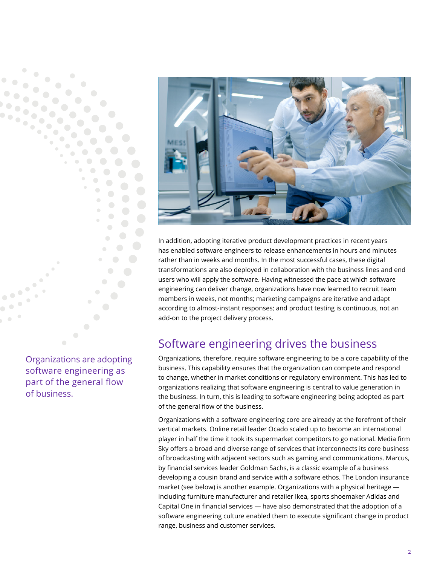

Organizations are adopting software engineering as part of the general flow of business.



In addition, adopting iterative product development practices in recent years has enabled software engineers to release enhancements in hours and minutes rather than in weeks and months. In the most successful cases, these digital transformations are also deployed in collaboration with the business lines and end users who will apply the software. Having witnessed the pace at which software engineering can deliver change, organizations have now learned to recruit team members in weeks, not months; marketing campaigns are iterative and adapt according to almost-instant responses; and product testing is continuous, not an add-on to the project delivery process.

# Software engineering drives the business

Organizations, therefore, require software engineering to be a core capability of the business. This capability ensures that the organization can compete and respond to change, whether in market conditions or regulatory environment. This has led to organizations realizing that software engineering is central to value generation in the business. In turn, this is leading to software engineering being adopted as part of the general flow of the business.

Organizations with a software engineering core are already at the forefront of their vertical markets. Online retail leader Ocado scaled up to become an international player in half the time it took its supermarket competitors to go national. Media firm Sky offers a broad and diverse range of services that interconnects its core business of broadcasting with adjacent sectors such as gaming and communications. Marcus, by financial services leader Goldman Sachs, is a classic example of a business developing a cousin brand and service with a software ethos. The London insurance market (see below) is another example. Organizations with a physical heritage including furniture manufacturer and retailer Ikea, sports shoemaker Adidas and Capital One in financial services — have also demonstrated that the adoption of a software engineering culture enabled them to execute significant change in product range, business and customer services.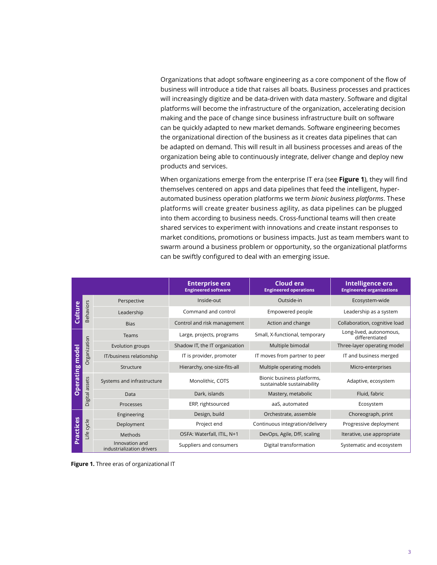Organizations that adopt software engineering as a core component of the flow of business will introduce a tide that raises all boats. Business processes and practices will increasingly digitize and be data-driven with data mastery. Software and digital platforms will become the infrastructure of the organization, accelerating decision making and the pace of change since business infrastructure built on software can be quickly adapted to new market demands. Software engineering becomes the organizational direction of the business as it creates data pipelines that can be adapted on demand. This will result in all business processes and areas of the organization being able to continuously integrate, deliver change and deploy new products and services.

When organizations emerge from the enterprise IT era (see **Figure 1**), they will find themselves centered on apps and data pipelines that feed the intelligent, hyperautomated business operation platforms we term *bionic business platforms*. These platforms will create greater business agility, as data pipelines can be plugged into them according to business needs. Cross-functional teams will then create shared services to experiment with innovations and create instant responses to market conditions, promotions or business impacts. Just as team members want to swarm around a business problem or opportunity, so the organizational platforms can be swiftly configured to deal with an emerging issue.

|                           |                  |                                             | <b>Enterprise era</b><br><b>Engineered software</b> | <b>Cloud era</b><br><b>Engineered operations</b>         | Intelligence era<br><b>Engineered organizations</b> |
|---------------------------|------------------|---------------------------------------------|-----------------------------------------------------|----------------------------------------------------------|-----------------------------------------------------|
| Culture                   | <b>Behaviors</b> | Perspective                                 | Inside-out                                          | Outside-in                                               | Ecosystem-wide                                      |
|                           |                  | Leadership                                  | Command and control                                 | Empowered people                                         | Leadership as a system                              |
|                           |                  | <b>Bias</b>                                 | Control and risk management                         | Action and change                                        | Collaboration, cognitive load                       |
| model<br><b>Operating</b> | Organization     | Teams                                       | Large, projects, programs                           | Small, X-functional, temporary                           | Long-lived, autonomous,<br>differentiated           |
|                           |                  | Evolution groups                            | Shadow IT, the IT organization                      | Multiple bimodal                                         | Three-layer operating model                         |
|                           |                  | IT/business relationship                    | IT is provider, promoter                            | IT moves from partner to peer                            | IT and business merged                              |
|                           |                  | Structure                                   | Hierarchy, one-size-fits-all                        | Multiple operating models                                | Micro-enterprises                                   |
|                           | Digital assets   | Systems and infrastructure                  | Monolithic, COTS                                    | Bionic business platforms,<br>sustainable sustainability | Adaptive, ecosystem                                 |
|                           |                  | Data                                        | Dark, islands                                       | Mastery, metabolic                                       | Fluid, fabric                                       |
|                           |                  | Processes                                   | ERP, rightsourced                                   | aaS, automated                                           | Ecosystem                                           |
| Practices                 | Life cycle       | Engineering                                 | Design, build                                       | Orchestrate, assemble                                    | Choreograph, print                                  |
|                           |                  | Deployment                                  | Project end                                         | Continuous integration/delivery                          | Progressive deployment                              |
|                           |                  | Methods                                     | OSFA: Waterfall, ITIL, N+1                          | DevOps, Agile, DfF, scaling                              | Iterative, use appropriate                          |
|                           |                  | Innovation and<br>industrialization drivers | Suppliers and consumers                             | Digital transformation                                   | Systematic and ecosystem                            |

**Figure 1.** Three eras of organizational IT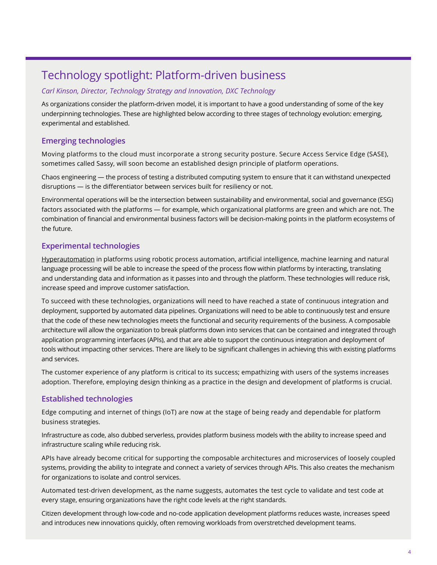# Technology spotlight: Platform-driven business

#### *Carl Kinson, Director, Technology Strategy and Innovation, DXC Technology*

As organizations consider the platform-driven model, it is important to have a good understanding of some of the key underpinning technologies. These are highlighted below according to three stages of technology evolution: emerging, experimental and established.

#### **Emerging technologies**

Moving platforms to the cloud must incorporate a strong security posture. Secure Access Service Edge (SASE), sometimes called Sassy, will soon become an established design principle of platform operations.

Chaos engineering — the process of testing a distributed computing system to ensure that it can withstand unexpected disruptions — is the differentiator between services built for resiliency or not.

Environmental operations will be the intersection between sustainability and environmental, social and governance (ESG) factors associated with the platforms — for example, which organizational platforms are green and which are not. The combination of financial and environmental business factors will be decision-making points in the platform ecosystems of the future.

#### **Experimental technologies**

[Hyperautomation](https://dxc.com/us/en/insights/perspectives/q-and-a/adopt-hyperautomation-to-create-a-resilient-it-estate) in platforms using robotic process automation, artificial intelligence, machine learning and natural language processing will be able to increase the speed of the process flow within platforms by interacting, translating and understanding data and information as it passes into and through the platform. These technologies will reduce risk, increase speed and improve customer satisfaction.

To succeed with these technologies, organizations will need to have reached a state of continuous integration and deployment, supported by automated data pipelines. Organizations will need to be able to continuously test and ensure that the code of these new technologies meets the functional and security requirements of the business. A composable architecture will allow the organization to break platforms down into services that can be contained and integrated through application programming interfaces (APIs), and that are able to support the continuous integration and deployment of tools without impacting other services. There are likely to be significant challenges in achieving this with existing platforms and services.

The customer experience of any platform is critical to its success; empathizing with users of the systems increases adoption. Therefore, employing design thinking as a practice in the design and development of platforms is crucial.

#### **Established technologies**

Edge computing and internet of things (IoT) are now at the stage of being ready and dependable for platform business strategies.

Infrastructure as code, also dubbed serverless, provides platform business models with the ability to increase speed and infrastructure scaling while reducing risk.

APIs have already become critical for supporting the composable architectures and microservices of loosely coupled systems, providing the ability to integrate and connect a variety of services through APIs. This also creates the mechanism for organizations to isolate and control services.

Automated test-driven development, as the name suggests, automates the test cycle to validate and test code at every stage, ensuring organizations have the right code levels at the right standards.

Citizen development through low-code and no-code application development platforms reduces waste, increases speed and introduces new innovations quickly, often removing workloads from overstretched development teams.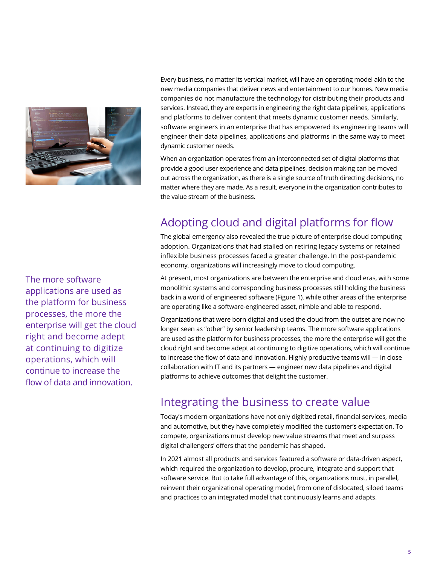

Every business, no matter its vertical market, will have an operating model akin to the new media companies that deliver news and entertainment to our homes. New media companies do not manufacture the technology for distributing their products and services. Instead, they are experts in engineering the right data pipelines, applications and platforms to deliver content that meets dynamic customer needs. Similarly, software engineers in an enterprise that has empowered its engineering teams will engineer their data pipelines, applications and platforms in the same way to meet dynamic customer needs.

When an organization operates from an interconnected set of digital platforms that provide a good user experience and data pipelines, decision making can be moved out across the organization, as there is a single source of truth directing decisions, no matter where they are made. As a result, everyone in the organization contributes to the value stream of the business.

# Adopting cloud and digital platforms for flow

The global emergency also revealed the true picture of enterprise cloud computing adoption. Organizations that had stalled on retiring legacy systems or retained inflexible business processes faced a greater challenge. In the post-pandemic economy, organizations will increasingly move to cloud computing.

At present, most organizations are between the enterprise and cloud eras, with some monolithic systems and corresponding business processes still holding the business back in a world of engineered software (Figure 1), while other areas of the enterprise are operating like a software-engineered asset, nimble and able to respond.

Organizations that were born digital and used the cloud from the outset are now no longer seen as "other" by senior leadership teams. The more software applications are used as the platform for business processes, the more the enterprise will get the [cloud right](https://dxc.com/us/en/cp/cloud-right-cloud-transformation) and become adept at continuing to digitize operations, which will continue to increase the flow of data and innovation. Highly productive teams will — in close collaboration with IT and its partners — engineer new data pipelines and digital platforms to achieve outcomes that delight the customer.

### Integrating the business to create value

Today's modern organizations have not only digitized retail, financial services, media and automotive, but they have completely modified the customer's expectation. To compete, organizations must develop new value streams that meet and surpass digital challengers' offers that the pandemic has shaped.

In 2021 almost all products and services featured a software or data-driven aspect, which required the organization to develop, procure, integrate and support that software service. But to take full advantage of this, organizations must, in parallel, reinvent their organizational operating model, from one of dislocated, siloed teams and practices to an integrated model that continuously learns and adapts.

The more software applications are used as the platform for business processes, the more the enterprise will get the cloud right and become adept at continuing to digitize operations, which will continue to increase the flow of data and innovation.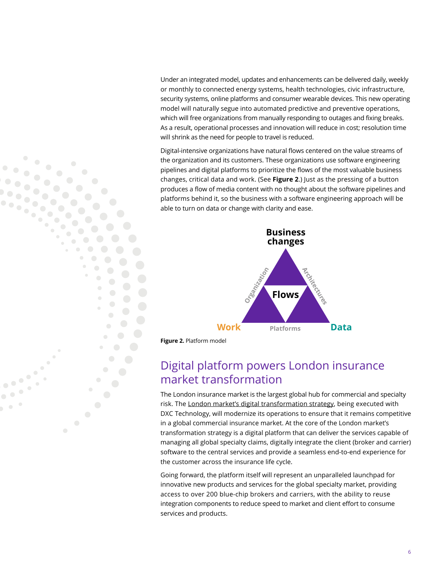Under an integrated model, updates and enhancements can be delivered daily, weekly or monthly to connected energy systems, health technologies, civic infrastructure, security systems, online platforms and consumer wearable devices. This new operating model will naturally segue into automated predictive and preventive operations, which will free organizations from manually responding to outages and fixing breaks. As a result, operational processes and innovation will reduce in cost; resolution time will shrink as the need for people to travel is reduced.

Digital-intensive organizations have natural flows centered on the value streams of the organization and its customers. These organizations use software engineering pipelines and digital platforms to prioritize the flows of the most valuable business changes, critical data and work. (See **Figure 2**.) Just as the pressing of a button produces a flow of media content with no thought about the software pipelines and platforms behind it, so the business with a software engineering approach will be able to turn on data or change with clarity and ease.



**Figure 2.** Platform model

 $\bullet$  $\bigcirc$ 

## Digital platform powers London insurance market transformation

The London insurance market is the largest global hub for commercial and specialty risk. The [London market's digital transformation strategy,](https://dxc.com/us/en/about-us/newsroom/press-releases/01122022) being executed with DXC Technology, will modernize its operations to ensure that it remains competitive in a global commercial insurance market. At the core of the London market's transformation strategy is a digital platform that can deliver the services capable of managing all global specialty claims, digitally integrate the client (broker and carrier) software to the central services and provide a seamless end-to-end experience for the customer across the insurance life cycle.

Going forward, the platform itself will represent an unparalleled launchpad for innovative new products and services for the global specialty market, providing access to over 200 blue-chip brokers and carriers, with the ability to reuse integration components to reduce speed to market and client effort to consume services and products.